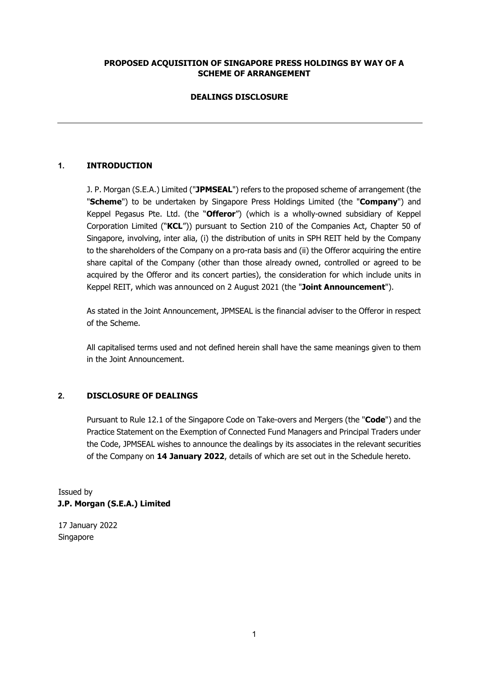# **PROPOSED ACQUISITION OF SINGAPORE PRESS HOLDINGS BY WAY OF A SCHEME OF ARRANGEMENT**

# **DEALINGS DISCLOSURE**

# **1. INTRODUCTION**

J. P. Morgan (S.E.A.) Limited ("**JPMSEAL**") refers to the proposed scheme of arrangement (the "**Scheme**") to be undertaken by Singapore Press Holdings Limited (the "**Company**") and Keppel Pegasus Pte. Ltd. (the "**Offeror**") (which is a wholly-owned subsidiary of Keppel Corporation Limited ("**KCL**")) pursuant to Section 210 of the Companies Act, Chapter 50 of Singapore, involving, inter alia, (i) the distribution of units in SPH REIT held by the Company to the shareholders of the Company on a pro-rata basis and (ii) the Offeror acquiring the entire share capital of the Company (other than those already owned, controlled or agreed to be acquired by the Offeror and its concert parties), the consideration for which include units in Keppel REIT, which was announced on 2 August 2021 (the "**Joint Announcement**").

As stated in the Joint Announcement, JPMSEAL is the financial adviser to the Offeror in respect of the Scheme.

All capitalised terms used and not defined herein shall have the same meanings given to them in the Joint Announcement.

### **2. DISCLOSURE OF DEALINGS**

Pursuant to Rule 12.1 of the Singapore Code on Take-overs and Mergers (the "**Code**") and the Practice Statement on the Exemption of Connected Fund Managers and Principal Traders under the Code, JPMSEAL wishes to announce the dealings by its associates in the relevant securities of the Company on **14 January 2022**, details of which are set out in the Schedule hereto.

Issued by **J.P. Morgan (S.E.A.) Limited** 

17 January 2022 Singapore